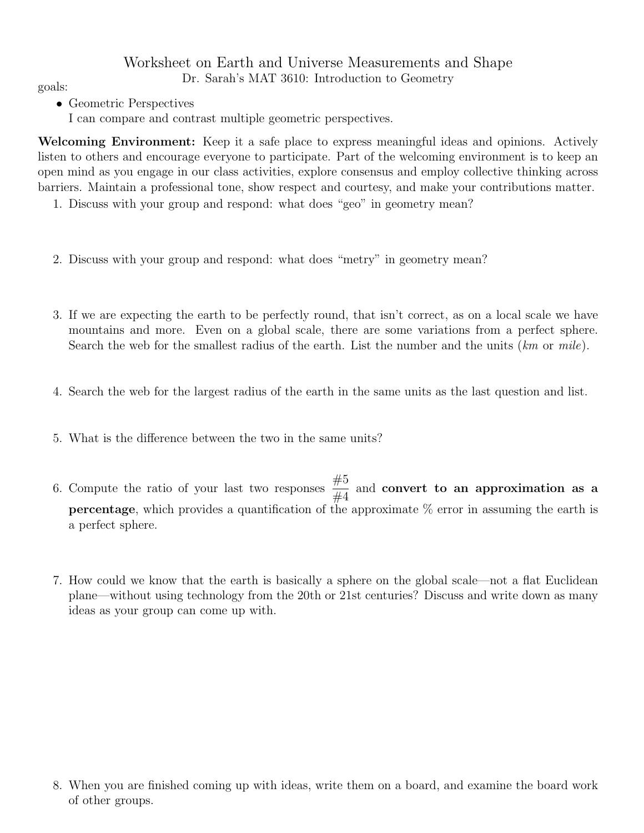## Worksheet on Earth and Universe Measurements and Shape Dr. Sarah's MAT 3610: Introduction to Geometry goals:

- Geometric Perspectives
	- I can compare and contrast multiple geometric perspectives.

Welcoming Environment: Keep it a safe place to express meaningful ideas and opinions. Actively listen to others and encourage everyone to participate. Part of the welcoming environment is to keep an open mind as you engage in our class activities, explore consensus and employ collective thinking across barriers. Maintain a professional tone, show respect and courtesy, and make your contributions matter.

- 1. Discuss with your group and respond: what does "geo" in geometry mean?
- 2. Discuss with your group and respond: what does "metry" in geometry mean?
- 3. If we are expecting the earth to be perfectly round, that isn't correct, as on a local scale we have mountains and more. Even on a global scale, there are some variations from a perfect sphere. Search the web for the smallest radius of the earth. List the number and the units  $(km \text{ or } mile)$ .
- 4. Search the web for the largest radius of the earth in the same units as the last question and list.
- 5. What is the difference between the two in the same units?
- 6. Compute the ratio of your last two responses  $\frac{\#5}{\#4}$  $\frac{1}{44}$  and convert to an approximation as a **percentage**, which provides a quantification of the approximate  $\%$  error in assuming the earth is a perfect sphere.
- 7. How could we know that the earth is basically a sphere on the global scale—not a flat Euclidean plane—without using technology from the 20th or 21st centuries? Discuss and write down as many ideas as your group can come up with.

<sup>8.</sup> When you are finished coming up with ideas, write them on a board, and examine the board work of other groups.